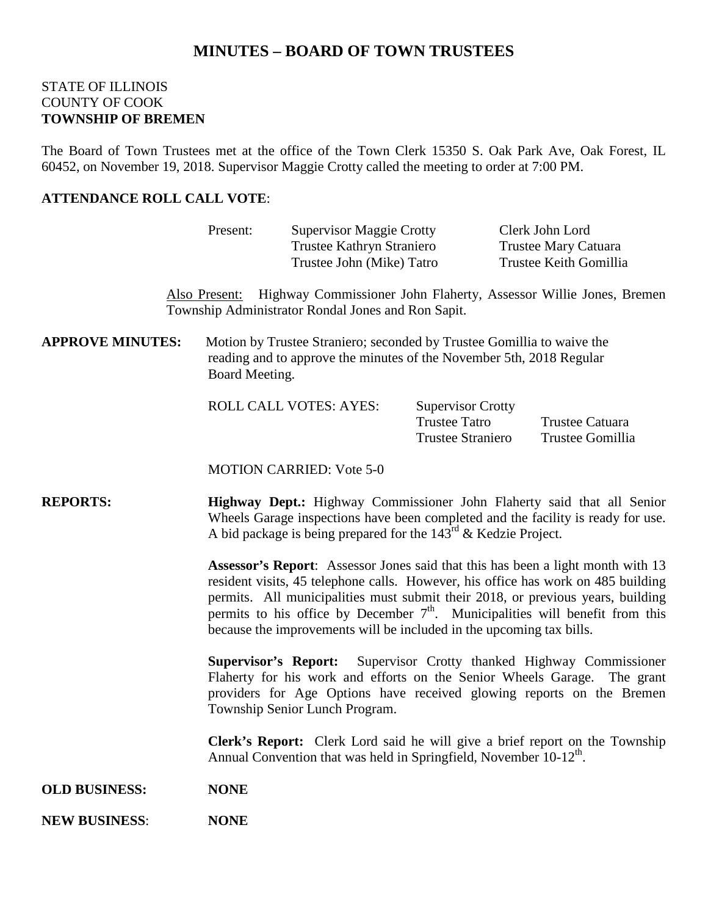# **MINUTES – BOARD OF TOWN TRUSTEES**

### STATE OF ILLINOIS COUNTY OF COOK **TOWNSHIP OF BREMEN**

The Board of Town Trustees met at the office of the Town Clerk 15350 S. Oak Park Ave, Oak Forest, IL 60452, on November 19, 2018. Supervisor Maggie Crotty called the meeting to order at 7:00 PM.

### **ATTENDANCE ROLL CALL VOTE**:

|                         | Present:                                                                                                                                                                                                                                                                                                                                                                                                                  | <b>Supervisor Maggie Crotty</b><br>Trustee Kathryn Straniero                   |                                                                              | Clerk John Lord<br>Trustee Mary Catuara                                         |  |
|-------------------------|---------------------------------------------------------------------------------------------------------------------------------------------------------------------------------------------------------------------------------------------------------------------------------------------------------------------------------------------------------------------------------------------------------------------------|--------------------------------------------------------------------------------|------------------------------------------------------------------------------|---------------------------------------------------------------------------------|--|
|                         |                                                                                                                                                                                                                                                                                                                                                                                                                           | Trustee John (Mike) Tatro                                                      |                                                                              | Trustee Keith Gomillia                                                          |  |
|                         |                                                                                                                                                                                                                                                                                                                                                                                                                           | Township Administrator Rondal Jones and Ron Sapit.                             |                                                                              | Also Present: Highway Commissioner John Flaherty, Assessor Willie Jones, Bremen |  |
| <b>APPROVE MINUTES:</b> | Motion by Trustee Straniero; seconded by Trustee Gomillia to waive the<br>reading and to approve the minutes of the November 5th, 2018 Regular<br>Board Meeting.                                                                                                                                                                                                                                                          |                                                                                |                                                                              |                                                                                 |  |
|                         |                                                                                                                                                                                                                                                                                                                                                                                                                           | <b>ROLL CALL VOTES: AYES:</b>                                                  | <b>Supervisor Crotty</b><br><b>Trustee Tatro</b><br><b>Trustee Straniero</b> | Trustee Catuara<br>Trustee Gomillia                                             |  |
|                         |                                                                                                                                                                                                                                                                                                                                                                                                                           | <b>MOTION CARRIED: Vote 5-0</b>                                                |                                                                              |                                                                                 |  |
| <b>REPORTS:</b>         | Highway Dept.: Highway Commissioner John Flaherty said that all Senior<br>Wheels Garage inspections have been completed and the facility is ready for use.<br>A bid package is being prepared for the $143^{\text{rd}}$ & Kedzie Project.                                                                                                                                                                                 |                                                                                |                                                                              |                                                                                 |  |
|                         | <b>Assessor's Report:</b> Assessor Jones said that this has been a light month with 13<br>resident visits, 45 telephone calls. However, his office has work on 485 building<br>permits. All municipalities must submit their 2018, or previous years, building<br>permits to his office by December $7th$ . Municipalities will benefit from this<br>because the improvements will be included in the upcoming tax bills. |                                                                                |                                                                              |                                                                                 |  |
|                         | Supervisor Crotty thanked Highway Commissioner<br><b>Supervisor's Report:</b><br>Flaherty for his work and efforts on the Senior Wheels Garage. The grant<br>providers for Age Options have received glowing reports on the Bremen<br>Township Senior Lunch Program.                                                                                                                                                      |                                                                                |                                                                              |                                                                                 |  |
|                         |                                                                                                                                                                                                                                                                                                                                                                                                                           | Annual Convention that was held in Springfield, November 10-12 <sup>th</sup> . |                                                                              | Clerk's Report: Clerk Lord said he will give a brief report on the Township     |  |
| <b>OLD BUSINESS:</b>    | <b>NONE</b>                                                                                                                                                                                                                                                                                                                                                                                                               |                                                                                |                                                                              |                                                                                 |  |
| <b>NEW BUSINESS:</b>    | <b>NONE</b>                                                                                                                                                                                                                                                                                                                                                                                                               |                                                                                |                                                                              |                                                                                 |  |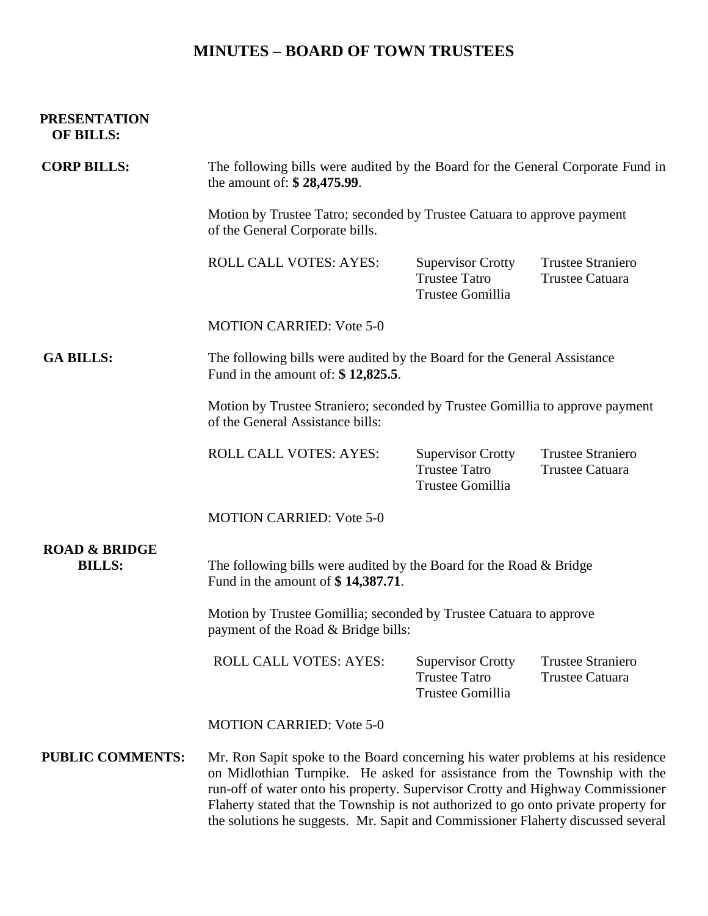# **MINUTES – BOARD OF TOWN TRUSTEES**

## **PRESENTATION OF BILLS:**

| <b>CORP BILLS:</b>                        | The following bills were audited by the Board for the General Corporate Fund in<br>the amount of: \$28,475.99.                                                                                                                                                                                                                                                                                                             |                                                                      |                                                    |  |  |
|-------------------------------------------|----------------------------------------------------------------------------------------------------------------------------------------------------------------------------------------------------------------------------------------------------------------------------------------------------------------------------------------------------------------------------------------------------------------------------|----------------------------------------------------------------------|----------------------------------------------------|--|--|
|                                           | Motion by Trustee Tatro; seconded by Trustee Catuara to approve payment<br>of the General Corporate bills.                                                                                                                                                                                                                                                                                                                 |                                                                      |                                                    |  |  |
|                                           | <b>ROLL CALL VOTES: AYES:</b>                                                                                                                                                                                                                                                                                                                                                                                              | <b>Supervisor Crotty</b><br><b>Trustee Tatro</b><br>Trustee Gomillia | <b>Trustee Straniero</b><br><b>Trustee Catuara</b> |  |  |
|                                           | <b>MOTION CARRIED: Vote 5-0</b>                                                                                                                                                                                                                                                                                                                                                                                            |                                                                      |                                                    |  |  |
| <b>GA BILLS:</b>                          | The following bills were audited by the Board for the General Assistance<br>Fund in the amount of: $$12,825.5$ .                                                                                                                                                                                                                                                                                                           |                                                                      |                                                    |  |  |
|                                           | Motion by Trustee Straniero; seconded by Trustee Gomillia to approve payment<br>of the General Assistance bills:                                                                                                                                                                                                                                                                                                           |                                                                      |                                                    |  |  |
|                                           | ROLL CALL VOTES: AYES:                                                                                                                                                                                                                                                                                                                                                                                                     | <b>Supervisor Crotty</b><br><b>Trustee Tatro</b><br>Trustee Gomillia | <b>Trustee Straniero</b><br><b>Trustee Catuara</b> |  |  |
|                                           | <b>MOTION CARRIED: Vote 5-0</b>                                                                                                                                                                                                                                                                                                                                                                                            |                                                                      |                                                    |  |  |
| <b>ROAD &amp; BRIDGE</b><br><b>BILLS:</b> | The following bills were audited by the Board for the Road & Bridge<br>Fund in the amount of \$14,387.71.                                                                                                                                                                                                                                                                                                                  |                                                                      |                                                    |  |  |
|                                           | Motion by Trustee Gomillia; seconded by Trustee Catuara to approve<br>payment of the Road & Bridge bills:                                                                                                                                                                                                                                                                                                                  |                                                                      |                                                    |  |  |
|                                           | <b>ROLL CALL VOTES: AYES:</b>                                                                                                                                                                                                                                                                                                                                                                                              | <b>Supervisor Crotty</b><br><b>Trustee Tatro</b><br>Trustee Gomillia | <b>Trustee Straniero</b><br><b>Trustee Catuara</b> |  |  |
|                                           | <b>MOTION CARRIED: Vote 5-0</b>                                                                                                                                                                                                                                                                                                                                                                                            |                                                                      |                                                    |  |  |
| <b>PUBLIC COMMENTS:</b>                   | Mr. Ron Sapit spoke to the Board concerning his water problems at his residence<br>on Midlothian Turnpike. He asked for assistance from the Township with the<br>run-off of water onto his property. Supervisor Crotty and Highway Commissioner<br>Flaherty stated that the Township is not authorized to go onto private property for<br>the solutions he suggests. Mr. Sapit and Commissioner Flaherty discussed several |                                                                      |                                                    |  |  |